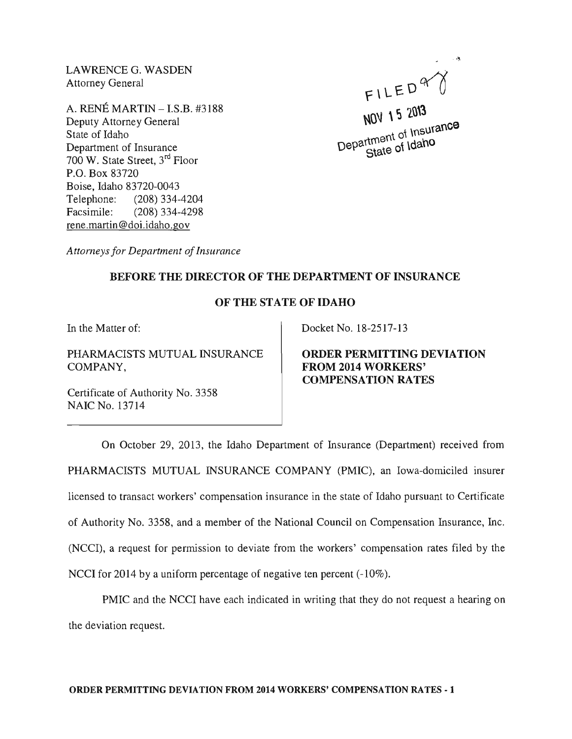LAWRENCE G. WASDEN Attorney General

A. RENE MARTIN -I.S.B. #3188 Deputy Attorney General State of Idaho Department of Insurance 700 W. State Street, 3rd Floor P.O. Box 83720 Boise, Idaho 83720-0043 Telephone: (208) 334-4204 Facsimile: (208) 334-4298 rene.martin @doi.idaho.gov

 $\cdots$  $FILED^{a'}$ 

NOV 15 2013  $M0V$  1.3 2010<br>Department of Insurance state of Idaho

*Attorneys for Department of Insurance* 

## BEFORE THE DIRECTOR OF THE DEPARTMENT OF INSURANCE

## OF THE STATE OF IDAHO

In the Matter of:

PHARMACISTS MUTUAL INSURANCE COMPANY,

Certificate of Authority No. 3358 NAIC No. 13714

Docket No. 18-2517-13

ORDER PERMITTING DEVIATION FROM 2014 WORKERS' COMPENSATION RATES

On October 29, 2013, the Idaho Department of Insurance (Department) received from PHARMACISTS MUTUAL INSURANCE COMPANY (PMIC), an Iowa-domiciled insurer licensed to transact workers' compensation insurance in the state of Idaho pursuant to Certificate of Authority No. 3358, and a member of the National Council on Compensation Insurance, Inc. (NCCI), a request for permission to deviate from the workers' compensation rates filed by the NCCI for 2014 by a uniform percentage of negative ten percent (-10%).

PMIC and the NCCI have each indicated in writing that they do not request a hearing on the deviation request.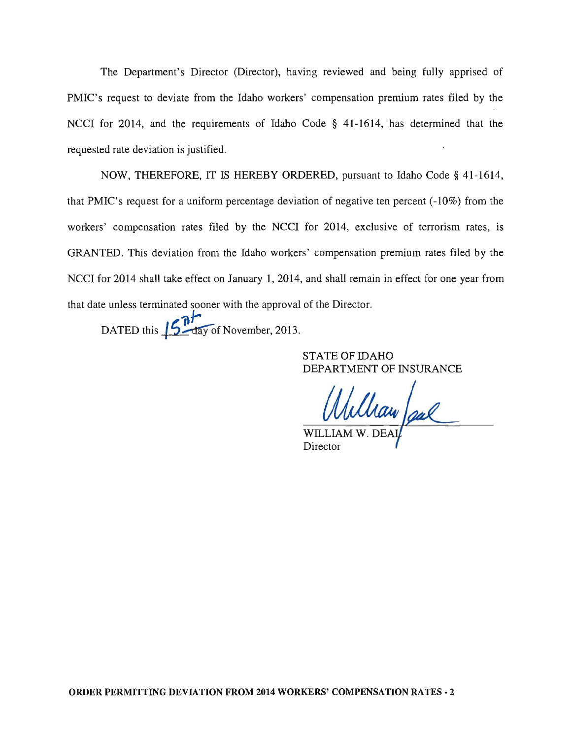The Department's Director (Director), having reviewed and being fully apprised of PMIC's request to deviate from the Idaho workers' compensation premium rates filed by the NCCI for 2014, and the requirements of Idaho Code § 41-1614, has determined that the requested rate deviation is justified.

NOW, THEREFORE, IT IS HEREBY ORDERED, pursuant to Idaho Code § 41-1614, that PMIC's request for a uniform percentage deviation of negative ten percent (-10%) from the workers' compensation rates filed by the NCCI for 2014, exclusive of terrorism rates, is GRANTED. This deviation from the Idaho workers' compensation premium rates filed by the NCCI for 2014 shall take effect on January 1, 2014, and shall remain in effect for one year from that date unless terminated sooner with the approval of the Director.

DATED this  $\sqrt{5}$   $\frac{1}{2}$  day of November, 2013.

STATE OF IDAHO DEPARTMENT OF INSURANCE

Wllaw al

**Director**